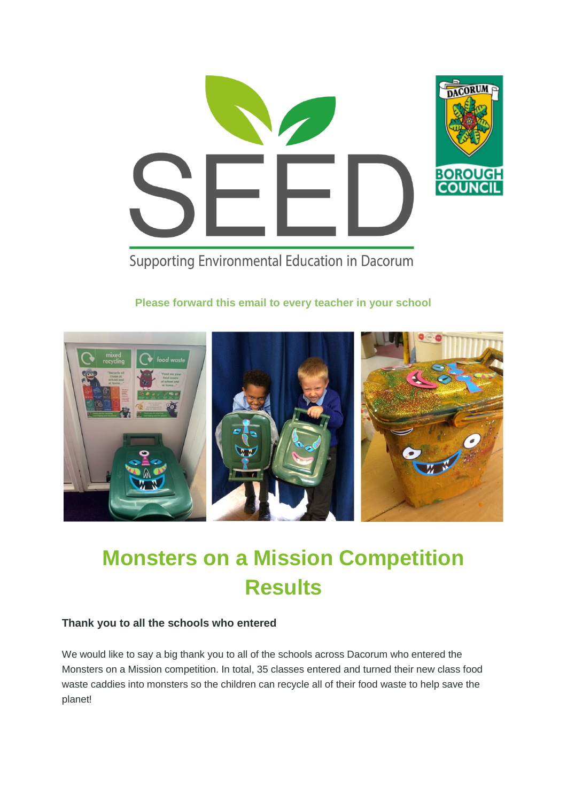

Supporting Environmental Education in Dacorum

#### **Please forward this email to every teacher in your school**



# **Monsters on a Mission Competition Results**

#### **Thank you to all the schools who entered**

We would like to say a big thank you to all of the schools across Dacorum who entered the Monsters on a Mission competition. In total, 35 classes entered and turned their new class food waste caddies into monsters so the children can recycle all of their food waste to help save the planet!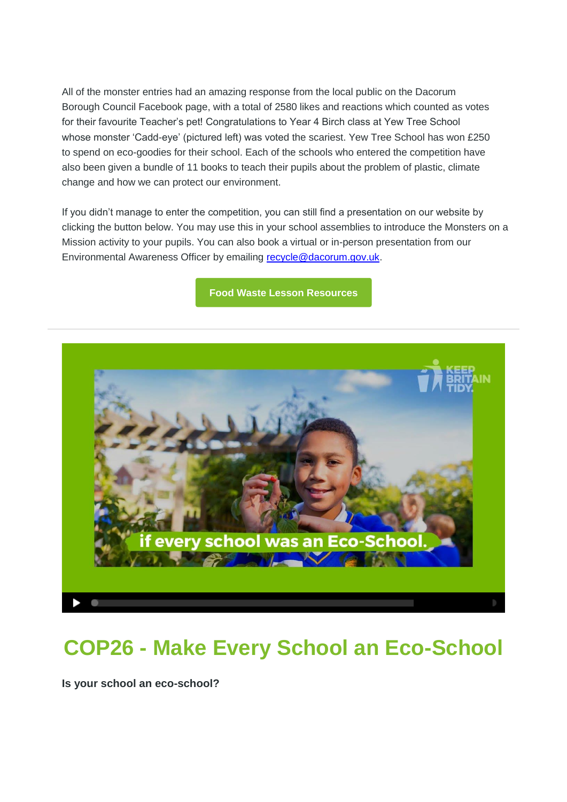All of the monster entries had an amazing response from the local public on the Dacorum Borough Council Facebook page, with a total of 2580 likes and reactions which counted as votes for their favourite Teacher's pet! Congratulations to Year 4 Birch class at Yew Tree School whose monster 'Cadd-eye' (pictured left) was voted the scariest. Yew Tree School has won £250 to spend on eco-goodies for their school. Each of the schools who entered the competition have also been given a bundle of 11 books to teach their pupils about the problem of plastic, climate change and how we can protect our environment.

If you didn't manage to enter the competition, you can still find a presentation on our website by clicking the button below. You may use this in your school assemblies to introduce the Monsters on a Mission activity to your pupils. You can also book a virtual or in-person presentation from our Environmental Awareness Officer by emailing [recycle@dacorum.gov.uk.](mailto:recycle@dacorum.gov.uk)

**[Food Waste Lesson Resources](https://dacorum-mail.co.uk/3QGJ-1DN3X-7FL2AF-WIUI1-1/c.aspx)**



## **COP26 - Make Every School an Eco-School**

**Is your school an eco-school?**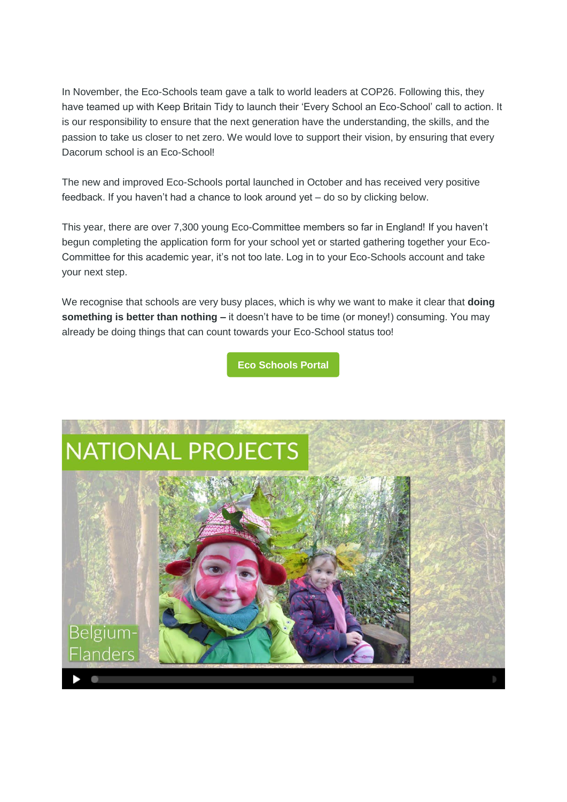In November, the Eco-Schools team gave a talk to world leaders at COP26. Following this, they have teamed up with Keep Britain Tidy to launch their 'Every School an Eco-School' call to action. It is our responsibility to ensure that the next generation have the understanding, the skills, and the passion to take us closer to net zero. We would love to support their vision, by ensuring that every Dacorum school is an Eco-School!

The new and improved Eco-Schools portal launched in October and has received very positive feedback. If you haven't had a chance to look around yet – do so by clicking below.

This year, there are over 7,300 young Eco-Committee members so far in England! If you haven't begun completing the application form for your school yet or started gathering together your Eco-Committee for this academic year, it's not too late. Log in to your Eco-Schools account and take your next step.

We recognise that schools are very busy places, which is why we want to make it clear that **doing something is better than nothing –** it doesn't have to be time (or money!) consuming. You may already be doing things that can count towards your Eco-School status too!

**[Eco Schools Portal](https://dacorum-mail.co.uk/3QGJ-1DN3X-7FL2AF-WIVE8-1/c.aspx)**

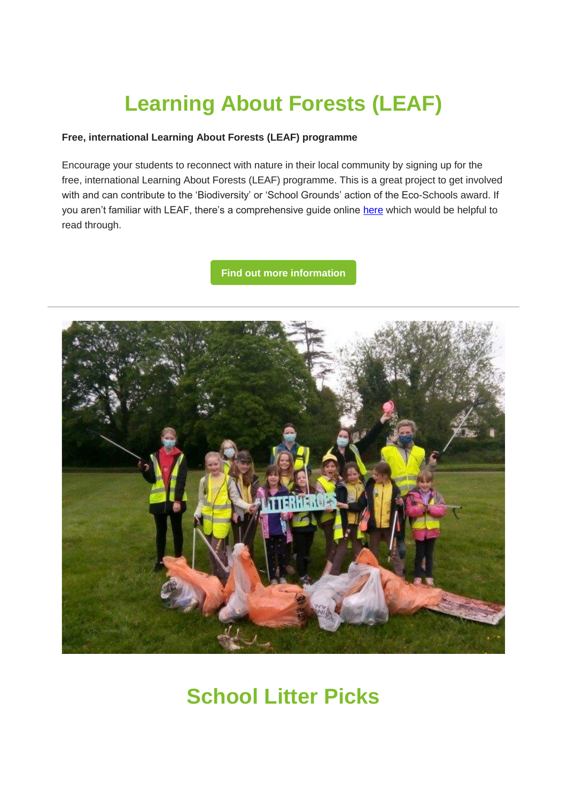# **Learning About Forests (LEAF)**

#### **Free, international Learning About Forests (LEAF) programme**

Encourage your students to reconnect with nature in their local community by signing up for the free, international Learning About Forests (LEAF) programme. This is a great project to get involved with and can contribute to the 'Biodiversity' or 'School Grounds' action of the Eco-Schools award. If you aren't familiar with LEAF, there's a comprehensive guide online [here](https://dacorum-mail.co.uk/3QGJ-1DN3X-7FL2AF-WJ1QV-1/c.aspx) which would be helpful to read through.

**[Find out more information](https://dacorum-mail.co.uk/3QGJ-1DN3X-7FL2AF-WJ1QW-1/c.aspx)**



## **School Litter Picks**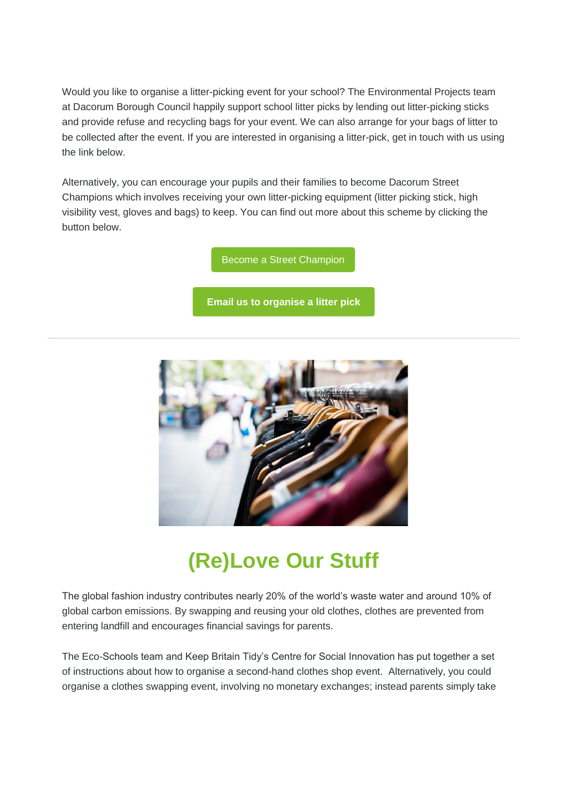Would you like to organise a litter-picking event for your school? The Environmental Projects team at Dacorum Borough Council happily support school litter picks by lending out litter-picking sticks and provide refuse and recycling bags for your event. We can also arrange for your bags of litter to be collected after the event. If you are interested in organising a litter-pick, get in touch with us using the link below.

Alternatively, you can encourage your pupils and their families to become Dacorum Street Champions which involves receiving your own litter-picking equipment (litter picking stick, high visibility vest, gloves and bags) to keep. You can find out more about this scheme by clicking the button below.

[Become a Street Champion](https://dacorum-mail.co.uk/3QGJ-1DN3X-7FL2AF-WJ1QX-1/c.aspx)

**[Email us to organise a litter pick](mailto:recycle@dacorum.gov.uk)**



# **(Re)Love Our Stuff**

The global fashion industry contributes nearly 20% of the world's waste water and around 10% of global carbon emissions. By swapping and reusing your old clothes, clothes are prevented from entering landfill and encourages financial savings for parents.

The Eco-Schools team and Keep Britain Tidy's Centre for Social Innovation has put together a set of instructions about how to organise a second-hand clothes shop event. Alternatively, you could organise a clothes swapping event, involving no monetary exchanges; instead parents simply take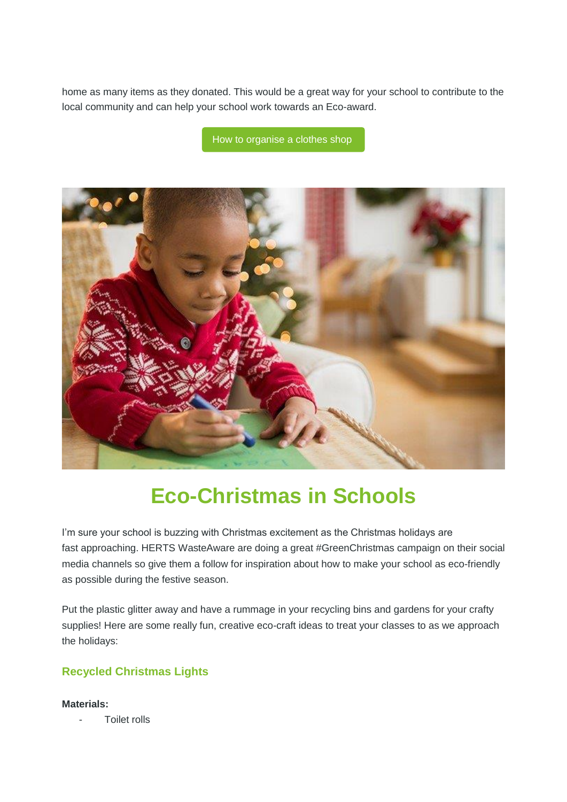home as many items as they donated. This would be a great way for your school to contribute to the local community and can help your school work towards an Eco-award.

[How to organise a clothes shop](https://dacorum-mail.co.uk/3QGJ-1DN3X-7FL2AF-WJ1QY-1/c.aspx)



# **Eco-Christmas in Schools**

I'm sure your school is buzzing with Christmas excitement as the Christmas holidays are fast approaching. HERTS WasteAware are doing a great #GreenChristmas campaign on their social media channels so give them a follow for inspiration about how to make your school as eco-friendly as possible during the festive season.

Put the plastic glitter away and have a rummage in your recycling bins and gardens for your crafty supplies! Here are some really fun, creative eco-craft ideas to treat your classes to as we approach the holidays:

### **Recycled Christmas Lights**

**Materials:** 

Toilet rolls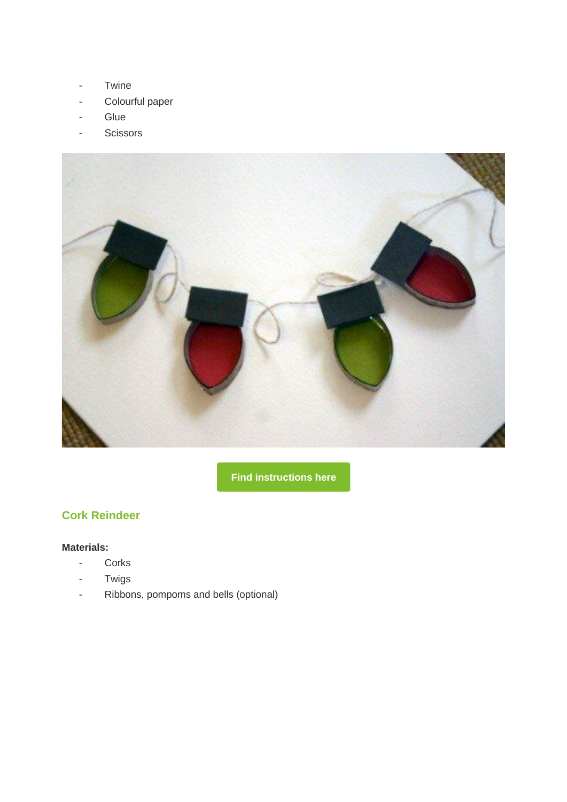- Twine
- Colourful paper
- **Glue**
- Scissors



**[Find instructions here](https://dacorum-mail.co.uk/3QGJ-1DN3X-7FL2AF-WJ1VG-1/c.aspx)**

### **Cork Reindeer**

#### **Materials:**

- Corks
- Twigs
- Ribbons, pompoms and bells (optional)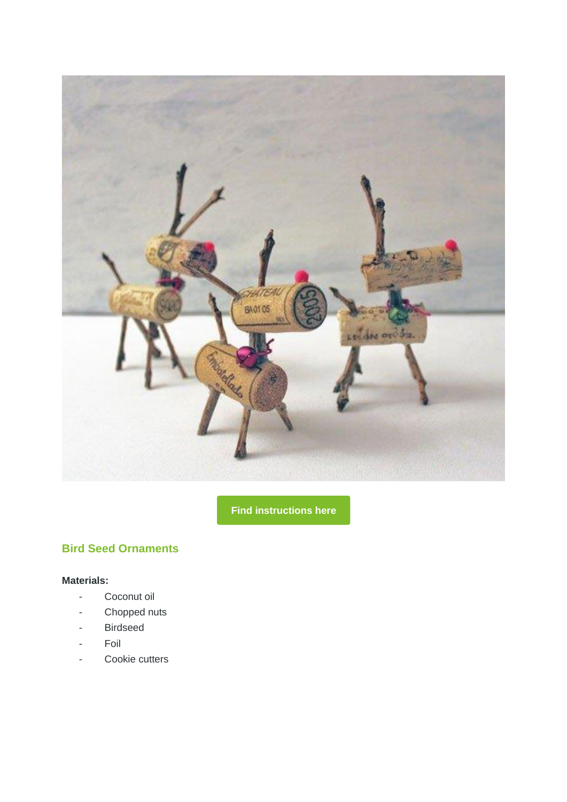

**[Find instructions here](https://dacorum-mail.co.uk/3QGJ-1DN3X-7FL2AF-WJ1VH-1/c.aspx)**

### **Bird Seed Ornaments**

#### **Materials:**

- Coconut oil
- Chopped nuts
- Birdseed
- Foil
- Cookie cutters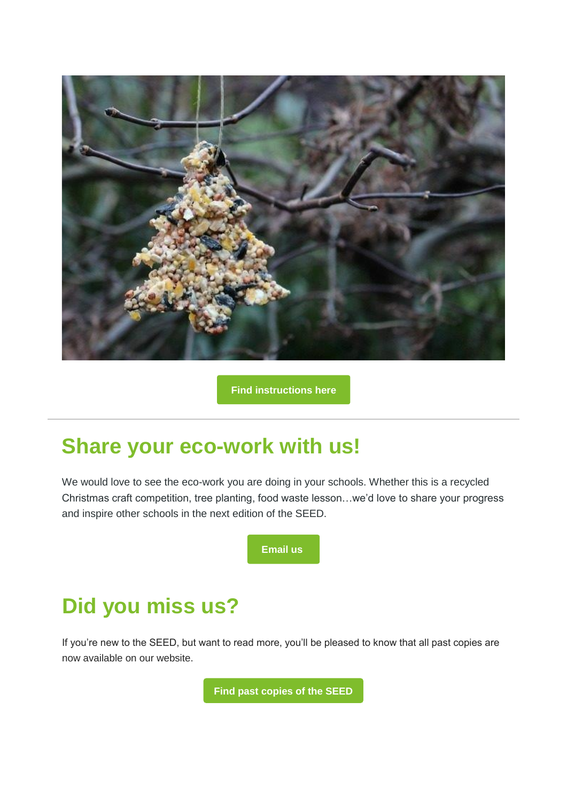

**[Find instructions here](https://dacorum-mail.co.uk/3QGJ-1DN3X-7FL2AF-WJ1VI-1/c.aspx)**

### **Share your eco-work with us!**

We would love to see the eco-work you are doing in your schools. Whether this is a recycled Christmas craft competition, tree planting, food waste lesson…we'd love to share your progress and inspire other schools in the next edition of the SEED.



# **Did you miss us?**

If you're new to the SEED, but want to read more, you'll be pleased to know that all past copies are now available on our website.

**[Find past copies of the SEED](https://dacorum-mail.co.uk/3QGJ-1DN3X-7FL2AF-WIUI8-1/c.aspx)**